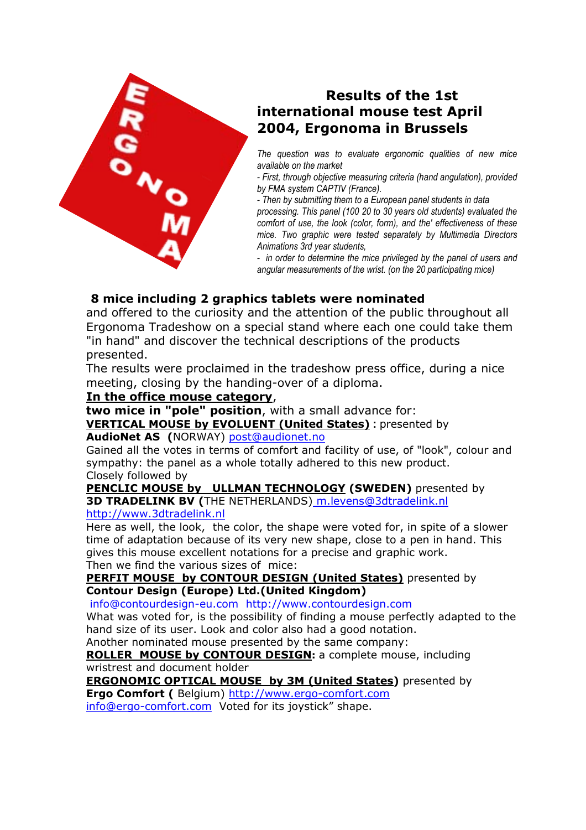

# **Results of the 1st international mouse test April 2004, Ergonoma in Brussels**

*The question was to evaluate ergonomic qualities of new mice available on the market* 

*- First, through objective measuring criteria (hand angulation), provided by FMA system CAPTIV (France).* 

*- Then by submitting them to a European panel students in data* 

*processing. This panel (100 20 to 30 years old students) evaluated the comfort of use, the look (color, form), and the' effectiveness of these mice. Two graphic were tested separately by Multimedia Directors Animations 3rd year students,* 

*- in order to determine the mice privileged by the panel of users and angular measurements of the wrist. (on the 20 participating mice)* 

## **8 mice including 2 graphics tablets were nominated**

and offered to the curiosity and the attention of the public throughout all Ergonoma Tradeshow on a special stand where each one could take them "in hand" and discover the technical descriptions of the products presented.

The results were proclaimed in the tradeshow press office, during a nice meeting, closing by the handing-over of a diploma.

### **In the office mouse category**,

**two mice in "pole" position**, with a small advance for:

**VERTICAL MOUSE by EVOLUENT (United States) :** presented by

## **AudioNet AS (**NORWAY) post@audionet.no

Gained all the votes in terms of comfort and facility of use, of "look", colour and sympathy: the panel as a whole totally adhered to this new product. Closely followed by

**PENCLIC MOUSE by ULLMAN TECHNOLOGY (SWEDEN)** presented by **3D TRADELINK BV (**THE NETHERLANDS) m.levens@3dtradelink.nl

#### http://www.3dtradelink.nl

Here as well, the look, the color, the shape were voted for, in spite of a slower time of adaptation because of its very new shape, close to a pen in hand. This gives this mouse excellent notations for a precise and graphic work. Then we find the various sizes of mice:

#### **PERFIT MOUSE by CONTOUR DESIGN (United States)** presented by **Contour Design (Europe) Ltd.(United Kingdom)**

info@contourdesign-eu.com http://www.contourdesign.com

What was voted for, is the possibility of finding a mouse perfectly adapted to the hand size of its user. Look and color also had a good notation.

Another nominated mouse presented by the same company:

**ROLLER MOUSE by CONTOUR DESIGN:** a complete mouse, including wristrest and document holder

**ERGONOMIC OPTICAL MOUSE by 3M (United States)** presented by **Ergo Comfort (** Belgium) http://www.ergo-comfort.com

info@ergo-comfort.com Voted for its joystick" shape.